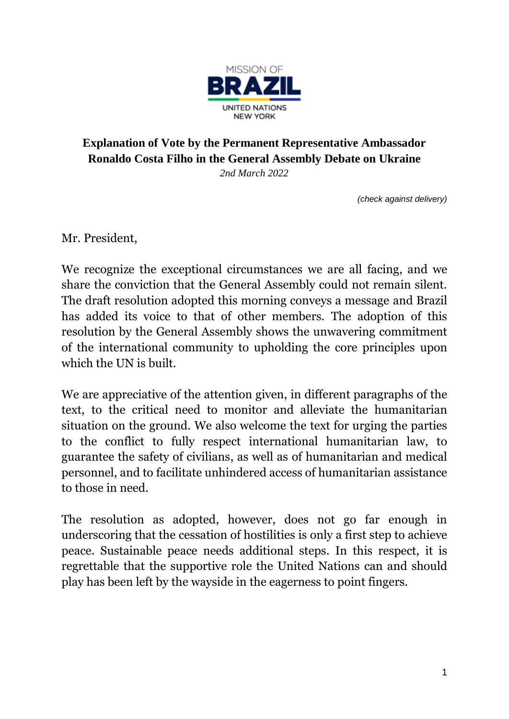

## **Explanation of Vote by the Permanent Representative Ambassador Ronaldo Costa Filho in the General Assembly Debate on Ukraine**

*2nd March 2022*

*(check against delivery)*

Mr. President,

We recognize the exceptional circumstances we are all facing, and we share the conviction that the General Assembly could not remain silent. The draft resolution adopted this morning conveys a message and Brazil has added its voice to that of other members. The adoption of this resolution by the General Assembly shows the unwavering commitment of the international community to upholding the core principles upon which the UN is built.

We are appreciative of the attention given, in different paragraphs of the text, to the critical need to monitor and alleviate the humanitarian situation on the ground. We also welcome the text for urging the parties to the conflict to fully respect international humanitarian law, to guarantee the safety of civilians, as well as of humanitarian and medical personnel, and to facilitate unhindered access of humanitarian assistance to those in need.

The resolution as adopted, however, does not go far enough in underscoring that the cessation of hostilities is only a first step to achieve peace. Sustainable peace needs additional steps. In this respect, it is regrettable that the supportive role the United Nations can and should play has been left by the wayside in the eagerness to point fingers.